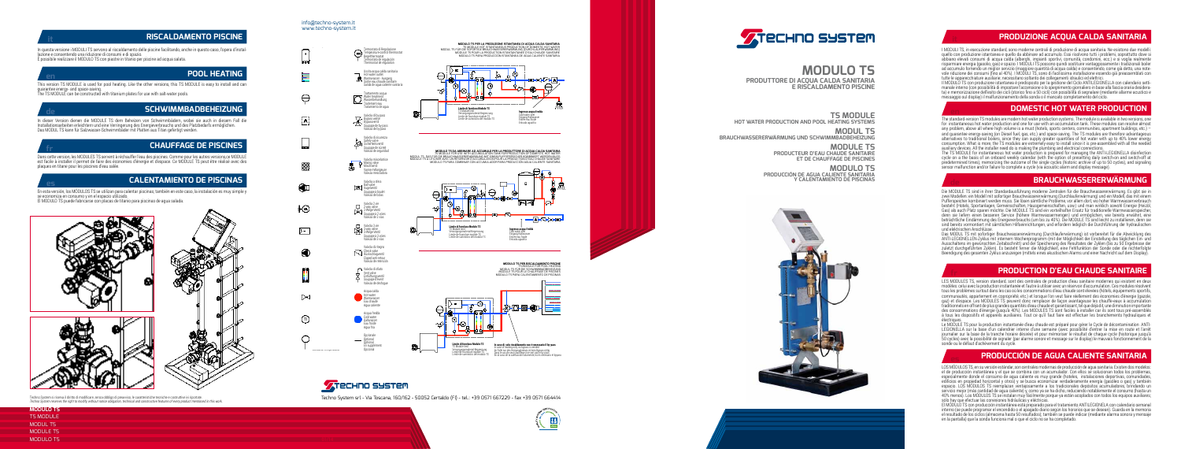I MODULI TS, in esecuzione standard, sono moderne centrali di produzione di acqua sanitaria. Ne esistono due modelli: quello con produzione istantanea e quello da abbinare ad accumulo. Essi risolvono tutti i problemi, soprattutto dove si abbiano elevati consumi di acqua calda (alberghi, impianti sportivi, comunità, condomini, ecc.) e si voglia realmente risparmiare energia (gasolio, gas) e spazio. I MODULI TS possono quindi sostituire vantaggiosamente i tradizionali boiler ad accumulo fornendo un miglior servizio (maggiore quantità di acqua calda) e consentendo, come già detto, una note vole riduzione dei consumi (fino al 40%). I MODULI TS, sono di facilissima installazione essendo già preassemblati con tutte le apparecchiature ausiliarie; necessitano soltanto dei collegamenti idraulici ed elettrici.

Il MODULO TS con produzione istantanea è predisposto per la gestione del Ciclo ANTILEGIONELLA con calendario setti manale interno (con possibilità di impostare l'accensione o lo spegnimento giornaliero in base alla fascia oraria desidera ta) e memorizzazione dell'esito dei cicli (storico fino a 50 cicli) con possibilità di segnalare (mediante allarme acustico e messaggio sul display) il malfunzionamento della sonda o il mancato completamento del ciclo.

In questa versione i MODULI TS servono al riscaldamento delle piscine facilitando, anche in questo caso, l'opera d'instal lazione e consentendo una riduzione di consumi e di spazio.

È possibile realizzare il MODULO TS con piastre in titanio per piscine ad acqua salata.

The TS MODULE for instantaneous hot water production is prepared for managing the ANTI-LEGIONELLA disinfection cycle on a the basis of an onboard weekly calendar (with the option of presetting daily switch-on and switch-off at predetermined times), memorizing the outcome of the single cycles (historic archive of up to 50 cycles), and signaling sensor malfunction and/or failure to complete a cycle (via acoustic alarm and display message).

This version TS MODULE is used for pool heating. Like the other versions, this TS MODULE is easy to install and can guarantee energy- and space-saving.

The TS MODULE can be constructed with titanium plates for use with salt-water pools.

LOS MÓDULOS TS, en su versión estándar, son centrales modernas de producción de agua sanitaria. Existen dos modelos: el de producción instantánea y el que se combina con un acumulador. Con ellos se solucionan todos los problemas, especialmente donde el consumo de agua caliente es muy grande (hoteles, instalaciones deportivas, comunidades, edificios en propiedad horizontal y otros) y se busca economizar verdaderamente energía (gasóleo o gas) y también espacio. LOS MÓDULOS TS reemplazan ventajosamente a los tradicionales depósitos acumuladores, brindando un servicio mejor (más cantidad de agua caliente) y, como ya se ha dicho, reduciendo notablemente el consumo (hasta un 40% menos). Los MÓDULOS TS se instalan muy fácilmente porque ya están acoplados con todos los equipos auxiliares; sólo hay que efectuar las conexiones hidráulicas y eléctricas.

Die MODULE TS sind in ihrer Standardausführung moderne Zentralen für die Brauchwassererwärmung. Es gibt sie in zwei Modellen: ein Modell mit sofortiger Brauchwassererwärmung (Durchlauferwärmung) und ein Modell, das mit einem Pufferspeicher kombiniert werden muss. Sie lösen sämtliche Probleme, vor allem dort, wo hoher Warmwasserverbrauch besteht (Hotels, Sportanlagen, Gemeinschaften, Hausgemeinschaften, usw.) und man wirklich sowohl Energie (Heizöl, Gas) als auch Platz sparen möchte. Die MODULE TS sind ein vorteilhafter Ersatz für traditionelle Warmwasserspeicher, denn sie liefern einen besseren Service (höhere Warmwassermengen) und ermöglichen, wie bereits erwähnt, eine beträchtliche Eindämmung des Energieverbrauchs (um bis zu 40%). Die MODULE TS sind leicht zu installieren, denn sie sind bereits vormontiert mit sämtlichen Hilfseinrichtungen, und erfordern lediglich die Durchführung der hydraulischen und elektrischen Anschlüsse.

Das MODUL TS mit sofortiger Brauchwassererwärmung (Durchlauferwärmung) ist vorbereitet für die Abwicklung des ANTI-LEGIONELLEN-Zyklus mit internem Wochenprogramm (mit der Möglichkeit der Einstellung des täglichen Ein- und Ausschaltens im gewünschten Zeitabschnitt) und der Speicherung des Resultates der Zyklen (bis zu 50 Ergebnisse der zuletzt durchgeführten Zyklen). Es besteht ferner die Möglichkeit, eine Fehlfunktion der Sonde oder die nichterfolgte Beendigung des gesamten Zyklus anzuzeigen (mittels eines akustischen Alarms und einer Nachricht auf dem Display).

In dieser Version dienen die MODULE TS dem Beheizen von Schwimmbädern, wobei sie auch in diesem Fall die Installationsarbeiten erleichtern und eine Verringerung des Energieverbrauchs und des Platzbedarfs ermöglichen. Das MODUL TS kann für Salzwasser-Schwimmbäder mit Platten aus Titan gefertigt werden.

> LES MODULES TS, version standard, sont des centrales de production d'eau sanitaire modernes qui existent en deux modèles: celui avec la production instantanée et l'autre à utiliser avec un réservoir d'accumulation. Ces modules résolvent tous les problèmes surtout dans les cas où les consommations d'eau chaude sont élevées (hôtels, équipements sportifs, communautés, appartement en copropriété, etc.) et lorsque l'on veut faire réellement des économies d'énergie (gazole, gaz) et d'espace. Les MODULES TS peuvent donc remplacer de façon avantageuse les chauffe-eaux à accumulation traditionnels en offrant de plus grandes quantités d'eau chaude et garantissant, tel que déjà dit, une diminution importante des consommations d'énergie (jusqu'à 40%). Les MODULES TS sont faciles à installer car ils sont tous pré-assemblés à tous les dispositifs et appareils auxiliaires. Tout ce qu'il faut faire est effectuer les branchements hydrauliques et électriques.

> The standard-version TS modules are modern hot water production systems. The module is available in two versions, one for instantaneous hot water production and one for use with an accumulation tank. These modules can resolve almost any problem, above all where high volume is a must (hotels, sports centers, communities, apartment buildings, etc.) – and guarantee energy-saving (on Diesel fuel, gas, etc.) and space-saving. The TS modules are therefore advantageous alternatives to traditional boilers, since they can supply greater quantities of hot water with up to 40% lower energy consumption. What is more, the TS modules are extremely easy to install since it is pre-assembled with all the needed auxiliary devices. All the installer need do is making the plumbing and electrical connections. **en**

> Le MODULE TS pour la production instantanée d'eau chaude est préparé pour gérer le Cycle de décontamination ANTI-LEGIONELLA sur la base d'un calendrier interne d'une semaine (avec possibilité d'entrer la mise en route et l'arrêt journalier sur la base de la tranche horaire désirée) et pour mémoriser le résultat de chaque cycle (historique jusqu'à 50 cycles) avec la possibilité de signaler (par alarme sonore et message sur le display) le mauvais fonctionnement de la sonde ou le défaut d'achèvement du cycle.

Dans cette version, les MODULES TS servent à réchauffer l'eau des piscines. Comme pour les autres versions,ce MODULE est facile à installer il permet de faire des économies d'énergie et d'espace. Ce MODULE TS peut être réalisé avec des plaques en titane pour les piscines d'eau salée.

> El MÓDULO TS con producción instantánea está preparado para el tratamiento ANTILEGIONELA con calendario semanal interno (se puede programar el encendido o el apagado diario según los horarios que se desean). Guarda en la memoria el resultado de los ciclos (almacena hasta 50 resultados); también se puede indicar (mediante alarma sonora y mensaje en la pantalla) que la sonda funciona mal o que el ciclo no se ha completado.

En esta versión, los MÓDULOS TS se utilizan para calentar piscinas; también en este caso, la instalación es muy simple y se economiza en consumo y en el espacio utilizado.

El MODULO TS puede fabricarse con placas de titanio para piscinas de agua salada.





## **DOMESTIC HOT WATER PRODUCTION**

## **POOL HEATING**

## **BRAUCHWASSERERWÄRMUNG**

## **SCHWIMMBADBEHEIZUNG**

## **PRODUCTION D'EAU CHAUDE SANITAIRE**

## **CHAUFFAGE DE PISCINES**

## **PRODUCCIÓN DE AGUA CALIENTE SANITARIA**

## **CALENTAMIENTO DE PISCINAS**

**en**

**de**



**de**

**fr**





**fr**

**es**

**es**

TS MODULE **MODULO TS** MODUL TS MODUL e TS MODULO TS







# **MODULO TS**

**PRODUTTORE DI ACQUA CALDA SANITARIA E RISCALDAMENTO PISCINE**













**XTECHNO SYSTEM** 

**TS MODULE HOT WATER PRODUCTION AND POOL HEATING SYSTEMS**

**MODUL TS BRAUCHWASSERERWÄRMUNG UND SCHWIMMBADBEHEIZUNG**

> **MODULE TS PRODUCTEUR D'EAU CHAUDE SANITAIRE ET DE CHAUFFAGE DE PISCINES**

**MODULO TS PRODUCCIÓN DE AGUA CALIENTE SANITARIA Y CALENTAMIENTO DE PISCINAS**





Techno System srl - Via Toscana, 160/162 - 50052 Certaldo (FI) - tel.: +39 0571 667229 - fax +39 0571 664414

## info@techno-system.it www.techno-system.it